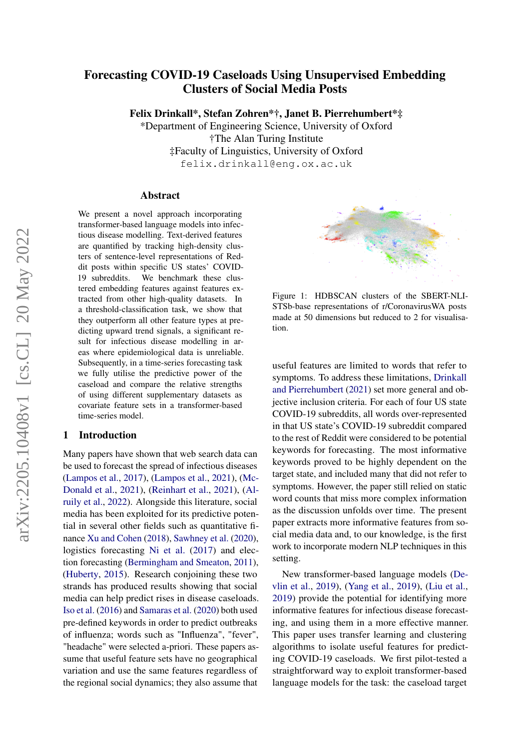# Forecasting COVID-19 Caseloads Using Unsupervised Embedding Clusters of Social Media Posts

Felix Drinkall\*, Stefan Zohren\*†, Janet B. Pierrehumbert\*‡

\*Department of Engineering Science, University of Oxford †The Alan Turing Institute ‡Faculty of Linguistics, University of Oxford felix.drinkall@eng.ox.ac.uk

#### Abstract

We present a novel approach incorporating transformer-based language models into infectious disease modelling. Text-derived features are quantified by tracking high-density clusters of sentence-level representations of Reddit posts within specific US states' COVID-19 subreddits. We benchmark these clustered embedding features against features extracted from other high-quality datasets. In a threshold-classification task, we show that they outperform all other feature types at predicting upward trend signals, a significant result for infectious disease modelling in areas where epidemiological data is unreliable. Subsequently, in a time-series forecasting task we fully utilise the predictive power of the caseload and compare the relative strengths of using different supplementary datasets as covariate feature sets in a transformer-based time-series model.

#### <span id="page-0-0"></span>1 Introduction

Many papers have shown that web search data can be used to forecast the spread of infectious diseases [\(Lampos et al.,](#page-9-0) [2017\)](#page-9-0), [\(Lampos et al.,](#page-9-1) [2021\)](#page-9-1), [\(Mc-](#page-9-2)[Donald et al.,](#page-9-2) [2021\)](#page-9-2), [\(Reinhart et al.,](#page-9-3) [2021\)](#page-9-3), [\(Al](#page-8-0)[ruily et al.,](#page-8-0) [2022\)](#page-8-0). Alongside this literature, social media has been exploited for its predictive potential in several other fields such as quantitative finance [Xu and Cohen](#page-10-0) [\(2018\)](#page-10-0), [Sawhney et al.](#page-10-1) [\(2020\)](#page-10-1), logistics forecasting [Ni et al.](#page-9-4) [\(2017\)](#page-9-4) and election forecasting [\(Bermingham and Smeaton,](#page-8-1) [2011\)](#page-8-1), [\(Huberty,](#page-9-5) [2015\)](#page-9-5). Research conjoining these two strands has produced results showing that social media can help predict rises in disease caseloads. [Iso et al.](#page-9-6) [\(2016\)](#page-9-6) and [Samaras et al.](#page-10-2) [\(2020\)](#page-10-2) both used pre-defined keywords in order to predict outbreaks of influenza; words such as "Influenza", "fever", "headache" were selected a-priori. These papers assume that useful feature sets have no geographical variation and use the same features regardless of the regional social dynamics; they also assume that



Figure 1: HDBSCAN clusters of the SBERT-NLI-STSb-base representations of r/CoronavirusWA posts made at 50 dimensions but reduced to 2 for visualisation.

useful features are limited to words that refer to symptoms. To address these limitations, [Drinkall](#page-9-7) [and Pierrehumbert](#page-9-7) [\(2021\)](#page-9-7) set more general and objective inclusion criteria. For each of four US state COVID-19 subreddits, all words over-represented in that US state's COVID-19 subreddit compared to the rest of Reddit were considered to be potential keywords for forecasting. The most informative keywords proved to be highly dependent on the target state, and included many that did not refer to symptoms. However, the paper still relied on static word counts that miss more complex information as the discussion unfolds over time. The present paper extracts more informative features from social media data and, to our knowledge, is the first work to incorporate modern NLP techniques in this setting.

New transformer-based language models [\(De](#page-8-2)[vlin et al.,](#page-8-2) [2019\)](#page-8-2), [\(Yang et al.,](#page-10-3) [2019\)](#page-10-3), [\(Liu et al.,](#page-9-8) [2019\)](#page-9-8) provide the potential for identifying more informative features for infectious disease forecasting, and using them in a more effective manner. This paper uses transfer learning and clustering algorithms to isolate useful features for predicting COVID-19 caseloads. We first pilot-tested a straightforward way to exploit transformer-based language models for the task: the caseload target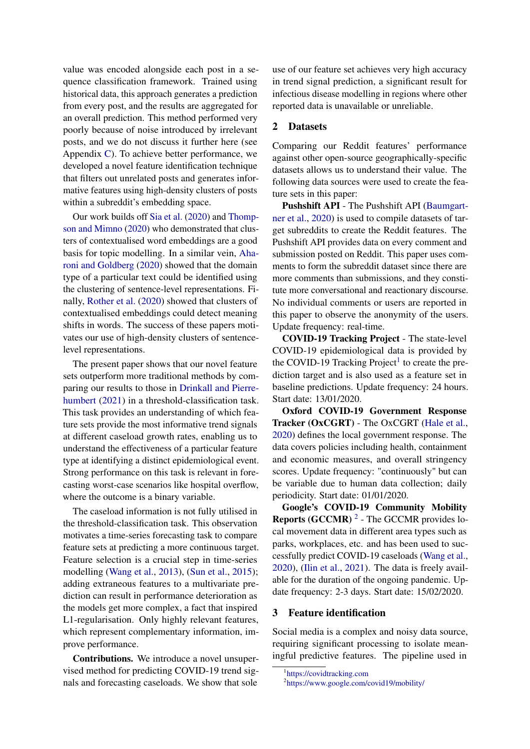value was encoded alongside each post in a sequence classification framework. Trained using historical data, this approach generates a prediction from every post, and the results are aggregated for an overall prediction. This method performed very poorly because of noise introduced by irrelevant posts, and we do not discuss it further here (see Appendix [C\)](#page-12-0). To achieve better performance, we developed a novel feature identification technique that filters out unrelated posts and generates informative features using high-density clusters of posts within a subreddit's embedding space.

Our work builds off [Sia et al.](#page-10-4) [\(2020\)](#page-10-4) and [Thomp](#page-10-5)[son and Mimno](#page-10-5) [\(2020\)](#page-10-5) who demonstrated that clusters of contextualised word embeddings are a good basis for topic modelling. In a similar vein, [Aha](#page-8-3)[roni and Goldberg](#page-8-3) [\(2020\)](#page-8-3) showed that the domain type of a particular text could be identified using the clustering of sentence-level representations. Finally, [Rother et al.](#page-10-6) [\(2020\)](#page-10-6) showed that clusters of contextualised embeddings could detect meaning shifts in words. The success of these papers motivates our use of high-density clusters of sentencelevel representations.

The present paper shows that our novel feature sets outperform more traditional methods by comparing our results to those in [Drinkall and Pierre](#page-9-7)[humbert](#page-9-7) [\(2021\)](#page-9-7) in a threshold-classification task. This task provides an understanding of which feature sets provide the most informative trend signals at different caseload growth rates, enabling us to understand the effectiveness of a particular feature type at identifying a distinct epidemiological event. Strong performance on this task is relevant in forecasting worst-case scenarios like hospital overflow, where the outcome is a binary variable.

The caseload information is not fully utilised in the threshold-classification task. This observation motivates a time-series forecasting task to compare feature sets at predicting a more continuous target. Feature selection is a crucial step in time-series modelling [\(Wang et al.,](#page-10-7) [2013\)](#page-10-7), [\(Sun et al.,](#page-10-8) [2015\)](#page-10-8); adding extraneous features to a multivariate prediction can result in performance deterioration as the models get more complex, a fact that inspired L1-regularisation. Only highly relevant features, which represent complementary information, improve performance.

Contributions. We introduce a novel unsupervised method for predicting COVID-19 trend signals and forecasting caseloads. We show that sole

use of our feature set achieves very high accuracy in trend signal prediction, a significant result for infectious disease modelling in regions where other reported data is unavailable or unreliable.

# <span id="page-1-2"></span>2 Datasets

Comparing our Reddit features' performance against other open-source geographically-specific datasets allows us to understand their value. The following data sources were used to create the feature sets in this paper:

Pushshift API - The Pushshift API [\(Baumgart](#page-8-4)[ner et al.,](#page-8-4) [2020\)](#page-8-4) is used to compile datasets of target subreddits to create the Reddit features. The Pushshift API provides data on every comment and submission posted on Reddit. This paper uses comments to form the subreddit dataset since there are more comments than submissions, and they constitute more conversational and reactionary discourse. No individual comments or users are reported in this paper to observe the anonymity of the users. Update frequency: real-time.

COVID-19 Tracking Project - The state-level COVID-19 epidemiological data is provided by the COVID-[1](#page-1-0)9 Tracking Project<sup>1</sup> to create the prediction target and is also used as a feature set in baseline predictions. Update frequency: 24 hours. Start date: 13/01/2020.

Oxford COVID-19 Government Response Tracker (OxCGRT) - The OxCGRT [\(Hale et al.,](#page-9-9) [2020\)](#page-9-9) defines the local government response. The data covers policies including health, containment and economic measures, and overall stringency scores. Update frequency: "continuously" but can be variable due to human data collection; daily periodicity. Start date: 01/01/2020.

Google's COVID-19 Community Mobility **Reports (GCCMR)**  $^2$  $^2$  - The GCCMR provides local movement data in different area types such as parks, workplaces, etc. and has been used to successfully predict COVID-19 caseloads [\(Wang et al.,](#page-10-9) [2020\)](#page-10-9), [\(Ilin et al.,](#page-9-10) [2021\)](#page-9-10). The data is freely available for the duration of the ongoing pandemic. Update frequency: 2-3 days. Start date: 15/02/2020.

#### 3 Feature identification

Social media is a complex and noisy data source, requiring significant processing to isolate meaningful predictive features. The pipeline used in

<span id="page-1-0"></span><sup>1</sup> <https://covidtracking.com>

<span id="page-1-1"></span><sup>2</sup> <https://www.google.com/covid19/mobility/>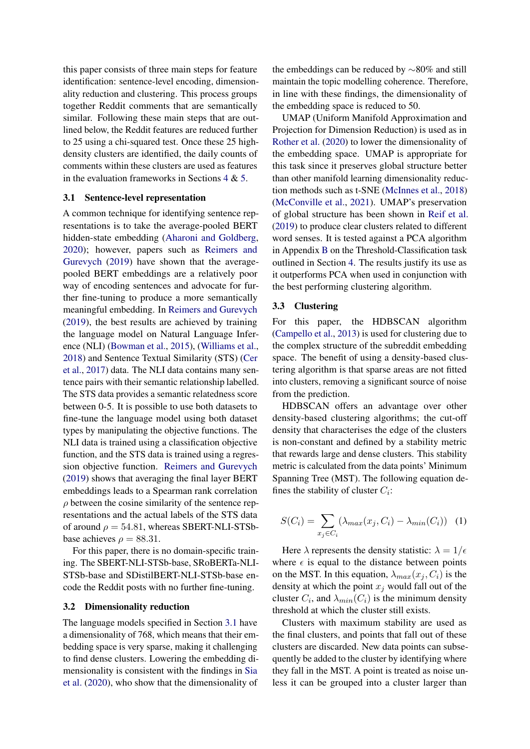this paper consists of three main steps for feature identification: sentence-level encoding, dimensionality reduction and clustering. This process groups together Reddit comments that are semantically similar. Following these main steps that are outlined below, the Reddit features are reduced further to 25 using a chi-squared test. Once these 25 highdensity clusters are identified, the daily counts of comments within these clusters are used as features in the evaluation frameworks in Sections  $4 \& 5$  $4 \& 5$ .

### <span id="page-2-0"></span>3.1 Sentence-level representation

A common technique for identifying sentence representations is to take the average-pooled BERT hidden-state embedding [\(Aharoni and Goldberg,](#page-8-3) [2020\)](#page-8-3); however, papers such as [Reimers and](#page-9-11) [Gurevych](#page-9-11) [\(2019\)](#page-9-11) have shown that the averagepooled BERT embeddings are a relatively poor way of encoding sentences and advocate for further fine-tuning to produce a more semantically meaningful embedding. In [Reimers and Gurevych](#page-9-11) [\(2019\)](#page-9-11), the best results are achieved by training the language model on Natural Language Inference (NLI) [\(Bowman et al.,](#page-8-5) [2015\)](#page-8-5), [\(Williams et al.,](#page-10-10) [2018\)](#page-10-10) and Sentence Textual Similarity (STS) [\(Cer](#page-8-6) [et al.,](#page-8-6) [2017\)](#page-8-6) data. The NLI data contains many sentence pairs with their semantic relationship labelled. The STS data provides a semantic relatedness score between 0-5. It is possible to use both datasets to fine-tune the language model using both dataset types by manipulating the objective functions. The NLI data is trained using a classification objective function, and the STS data is trained using a regression objective function. [Reimers and Gurevych](#page-9-11) [\(2019\)](#page-9-11) shows that averaging the final layer BERT embeddings leads to a Spearman rank correlation  $\rho$  between the cosine similarity of the sentence representations and the actual labels of the STS data of around  $\rho = 54.81$ , whereas SBERT-NLI-STSbbase achieves  $\rho = 88.31$ .

For this paper, there is no domain-specific training. The SBERT-NLI-STSb-base, SRoBERTa-NLI-STSb-base and SDistilBERT-NLI-STSb-base encode the Reddit posts with no further fine-tuning.

### 3.2 Dimensionality reduction

The language models specified in Section [3.1](#page-2-0) have a dimensionality of 768, which means that their embedding space is very sparse, making it challenging to find dense clusters. Lowering the embedding dimensionality is consistent with the findings in [Sia](#page-10-4) [et al.](#page-10-4) [\(2020\)](#page-10-4), who show that the dimensionality of the embeddings can be reduced by ∼80% and still maintain the topic modelling coherence. Therefore, in line with these findings, the dimensionality of the embedding space is reduced to 50.

UMAP (Uniform Manifold Approximation and Projection for Dimension Reduction) is used as in [Rother et al.](#page-10-6) [\(2020\)](#page-10-6) to lower the dimensionality of the embedding space. UMAP is appropriate for this task since it preserves global structure better than other manifold learning dimensionality reduction methods such as t-SNE [\(McInnes et al.,](#page-9-12) [2018\)](#page-9-12) [\(McConville et al.,](#page-9-13) [2021\)](#page-9-13). UMAP's preservation of global structure has been shown in [Reif et al.](#page-9-14) [\(2019\)](#page-9-14) to produce clear clusters related to different word senses. It is tested against a PCA algorithm in Appendix [B](#page-11-0) on the Threshold-Classification task outlined in Section [4.](#page-3-0) The results justify its use as it outperforms PCA when used in conjunction with the best performing clustering algorithm.

#### 3.3 Clustering

For this paper, the HDBSCAN algorithm [\(Campello et al.,](#page-8-7) [2013\)](#page-8-7) is used for clustering due to the complex structure of the subreddit embedding space. The benefit of using a density-based clustering algorithm is that sparse areas are not fitted into clusters, removing a significant source of noise from the prediction.

HDBSCAN offers an advantage over other density-based clustering algorithms; the cut-off density that characterises the edge of the clusters is non-constant and defined by a stability metric that rewards large and dense clusters. This stability metric is calculated from the data points' Minimum Spanning Tree (MST). The following equation defines the stability of cluster  $C_i$ :

$$
S(C_i) = \sum_{x_j \in C_i} (\lambda_{max}(x_j, C_i) - \lambda_{min}(C_i)) \quad (1)
$$

Here  $\lambda$  represents the density statistic:  $\lambda = 1/\epsilon$ where  $\epsilon$  is equal to the distance between points on the MST. In this equation,  $\lambda_{max}(x_i, C_i)$  is the density at which the point  $x_j$  would fall out of the cluster  $C_i$ , and  $\lambda_{min}(C_i)$  is the minimum density threshold at which the cluster still exists.

Clusters with maximum stability are used as the final clusters, and points that fall out of these clusters are discarded. New data points can subsequently be added to the cluster by identifying where they fall in the MST. A point is treated as noise unless it can be grouped into a cluster larger than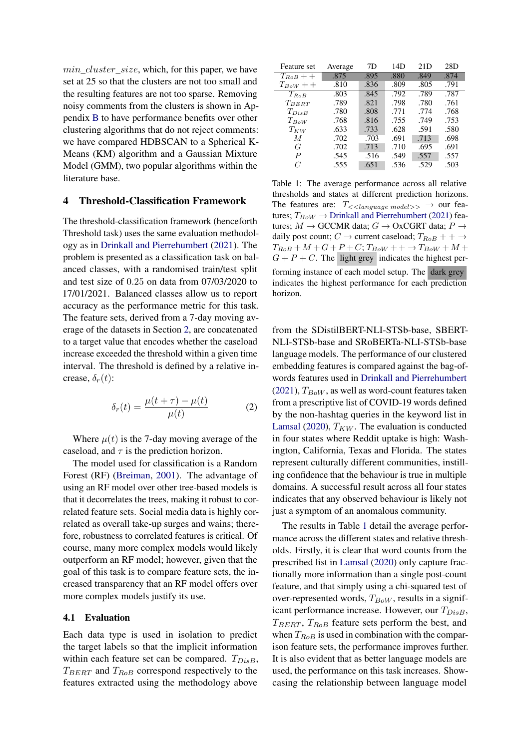$min\_cluster\_size$ , which, for this paper, we have set at 25 so that the clusters are not too small and the resulting features are not too sparse. Removing noisy comments from the clusters is shown in Appendix [B](#page-11-0) to have performance benefits over other clustering algorithms that do not reject comments: we have compared HDBSCAN to a Spherical K-Means (KM) algorithm and a Gaussian Mixture Model (GMM), two popular algorithms within the literature base.

### <span id="page-3-0"></span>4 Threshold-Classification Framework

The threshold-classification framework (henceforth Threshold task) uses the same evaluation methodology as in [Drinkall and Pierrehumbert](#page-9-7) [\(2021\)](#page-9-7). The problem is presented as a classification task on balanced classes, with a randomised train/test split and test size of 0.25 on data from 07/03/2020 to 17/01/2021. Balanced classes allow us to report accuracy as the performance metric for this task. The feature sets, derived from a 7-day moving average of the datasets in Section [2,](#page-1-2) are concatenated to a target value that encodes whether the caseload increase exceeded the threshold within a given time interval. The threshold is defined by a relative increase,  $\delta_r(t)$ :

$$
\delta_r(t) = \frac{\mu(t+\tau) - \mu(t)}{\mu(t)}\tag{2}
$$

Where  $\mu(t)$  is the 7-day moving average of the caseload, and  $\tau$  is the prediction horizon.

The model used for classification is a Random Forest (RF) [\(Breiman,](#page-8-8) [2001\)](#page-8-8). The advantage of using an RF model over other tree-based models is that it decorrelates the trees, making it robust to correlated feature sets. Social media data is highly correlated as overall take-up surges and wains; therefore, robustness to correlated features is critical. Of course, many more complex models would likely outperform an RF model; however, given that the goal of this task is to compare feature sets, the increased transparency that an RF model offers over more complex models justify its use.

# 4.1 Evaluation

Each data type is used in isolation to predict the target labels so that the implicit information within each feature set can be compared.  $T_{DisB}$ ,  $T_{BERT}$  and  $T_{RoB}$  correspond respectively to the features extracted using the methodology above

<span id="page-3-1"></span>

| Feature set      | Average | 7D   | 14D  | 21D  | 28D  |
|------------------|---------|------|------|------|------|
| $T_{RoB}$ + +    | .875    | .895 | .880 | .849 | .874 |
| $T_{BoW} + +$    | .810    | .836 | .809 | .805 | .791 |
| $T_{RoB}$        | .803    | .845 | .792 | .789 | .787 |
| $T_{BERT}$       | .789    | .821 | .798 | .780 | .761 |
| $T_{DisB}$       | .780    | .808 | .771 | .774 | .768 |
| $T_{BoW}$        | .768    | .816 | .755 | .749 | .753 |
| $T_{KW}$         | .633    | .733 | .628 | .591 | .580 |
| M                | .702    | .703 | .691 | .713 | .698 |
| G                | .702    | .713 | .710 | .695 | .691 |
| $\boldsymbol{P}$ | .545    | .516 | .549 | .557 | .557 |
| $\mathcal{C}$    | .555    | .651 | .536 | .529 | .503 |

Table 1: The average performance across all relative thresholds and states at different prediction horizons. The features are:  $T_{\ll \langle language \ model \rangle >}$   $\rightarrow$  our features;  $T_{BoW} \rightarrow$  [Drinkall and Pierrehumbert](#page-9-7) [\(2021\)](#page-9-7) features;  $M \to$  GCCMR data;  $G \to$  OxCGRT data;  $P \to$ daily post count;  $C \rightarrow$  current caseload;  $T_{RoB} + + \rightarrow$  $T_{RoB} + M + G + P + C$ ;  $T_{BoW} + + \rightarrow T_{BoW} + M +$  $G + P + C$ . The light grey indicates the highest performing instance of each model setup. The dark grey indicates the highest performance for each prediction horizon.

from the SDistilBERT-NLI-STSb-base, SBERT-NLI-STSb-base and SRoBERTa-NLI-STSb-base language models. The performance of our clustered embedding features is compared against the bag-ofwords features used in [Drinkall and Pierrehumbert](#page-9-7)  $(2021)$ ,  $T_{BoW}$ , as well as word-count features taken from a prescriptive list of COVID-19 words defined by the non-hashtag queries in the keyword list in [Lamsal](#page-9-15) [\(2020\)](#page-9-15),  $T_{KW}$ . The evaluation is conducted in four states where Reddit uptake is high: Washington, California, Texas and Florida. The states represent culturally different communities, instilling confidence that the behaviour is true in multiple domains. A successful result across all four states indicates that any observed behaviour is likely not just a symptom of an anomalous community.

The results in Table [1](#page-3-1) detail the average performance across the different states and relative thresholds. Firstly, it is clear that word counts from the prescribed list in [Lamsal](#page-9-15) [\(2020\)](#page-9-15) only capture fractionally more information than a single post-count feature, and that simply using a chi-squared test of over-represented words,  $T_{BoW}$ , results in a significant performance increase. However, our  $T_{DisB}$ ,  $T_{BERT}$ ,  $T_{RoB}$  feature sets perform the best, and when  $T_{RoB}$  is used in combination with the comparison feature sets, the performance improves further. It is also evident that as better language models are used, the performance on this task increases. Showcasing the relationship between language model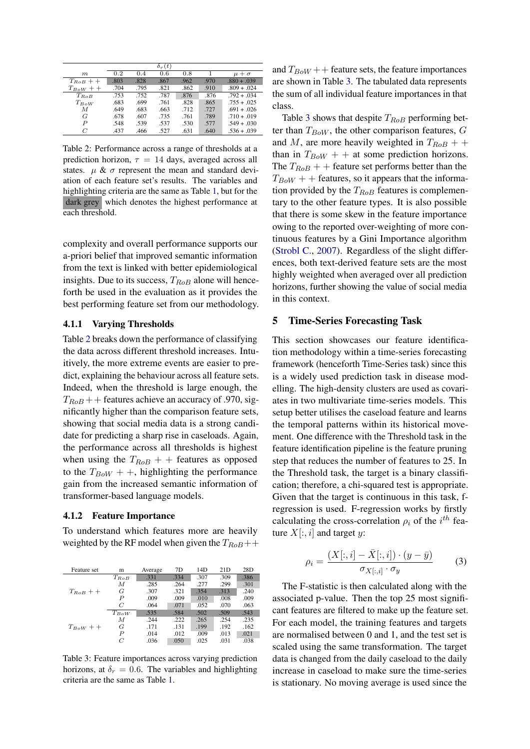<span id="page-4-1"></span>

|               |      |      | $\delta_r(t)$ |      |      |                |
|---------------|------|------|---------------|------|------|----------------|
| m             | 0.2  | 0.4  | 0.6           | 0.8  |      | $\mu + \sigma$ |
| $T_{RoB} + +$ | .803 | .828 | .867          | .962 | .970 | $.880 + .039$  |
| $T_{BoW}$ + + | .704 | .795 | .821          | .862 | .910 | $.809 + .024$  |
| $T_{RoB}$     | .753 | .752 | .787          | .876 | .876 | $.792 + .034$  |
| $T_{BoW}$     | .683 | .699 | .761          | .828 | .865 | $.755 + .025$  |
| M             | .649 | .683 | .663          | .712 | .727 | $.691 + .026$  |
| G             | .678 | .607 | .735          | .761 | .789 | $.710 + .019$  |
| P             | .548 | .539 | .537          | .530 | .577 | $.549 + .030$  |
| C             | .437 | .466 | .527          | .631 | .640 | $.536 + .039$  |

Table 2: Performance across a range of thresholds at a prediction horizon,  $\tau = 14$  days, averaged across all states.  $\mu \& \sigma$  represent the mean and standard deviation of each feature set's results. The variables and highlighting criteria are the same as Table [1,](#page-3-1) but for the dark grey which denotes the highest performance at each threshold.

complexity and overall performance supports our a-priori belief that improved semantic information from the text is linked with better epidemiological insights. Due to its success,  $T_{RoB}$  alone will henceforth be used in the evaluation as it provides the best performing feature set from our methodology.

#### 4.1.1 Varying Thresholds

Table [2](#page-4-1) breaks down the performance of classifying the data across different threshold increases. Intuitively, the more extreme events are easier to predict, explaining the behaviour across all feature sets. Indeed, when the threshold is large enough, the  $T_{RoB}$  + + features achieve an accuracy of .970, significantly higher than the comparison feature sets, showing that social media data is a strong candidate for predicting a sharp rise in caseloads. Again, the performance across all thresholds is highest when using the  $T_{RoB}$  + + features as opposed to the  $T_{BoW}$  + +, highlighting the performance gain from the increased semantic information of transformer-based language models.

#### 4.1.2 Feature Importance

To understand which features more are heavily weighted by the RF model when given the  $T_{RoB}$ ++

<span id="page-4-2"></span>

| Feature set   | m         | Average | 7D   | 14D  | 21D  | 28D  |
|---------------|-----------|---------|------|------|------|------|
|               | $T_{RoB}$ | .331    | .334 | .307 | .309 | .386 |
|               | М         | .285    | .264 | .277 | .299 | .301 |
| $T_{RoB}$ + + | G         | .307    | .321 | .354 | .313 | .240 |
|               | P         | .009    | .009 | .010 | .008 | .009 |
|               | C         | .064    | .071 | .052 | .070 | .063 |
|               | $T_{BoW}$ | .535    | .584 | .502 | .509 | .543 |
|               | М         | .244    | .222 | .265 | .254 | .235 |
| $T_{BoW}$ + + | G         | .171    | .131 | .199 | .192 | .162 |
|               | P         | .014    | .012 | .009 | .013 | .021 |
|               | C         | .036    | .050 | .025 | .031 | .038 |

Table 3: Feature importances across varying prediction horizons, at  $\delta_r = 0.6$ . The variables and highlighting criteria are the same as Table [1.](#page-3-1)

and  $T_{BoW}$  + + feature sets, the feature importances are shown in Table [3.](#page-4-2) The tabulated data represents the sum of all individual feature importances in that class.

Table [3](#page-4-2) shows that despite  $T_{RoB}$  performing better than  $T_{BoW}$ , the other comparison features,  $G$ and M, are more heavily weighted in  $T_{RoB}$  + + than in  $T_{BoW}$  + + at some prediction horizons. The  $T_{RoB}$  + + feature set performs better than the  $T_{BoW}$  + + features, so it appears that the information provided by the  $T_{RoB}$  features is complementary to the other feature types. It is also possible that there is some skew in the feature importance owing to the reported over-weighting of more continuous features by a Gini Importance algorithm [\(Strobl C.,](#page-10-11) [2007\)](#page-10-11). Regardless of the slight differences, both text-derived feature sets are the most highly weighted when averaged over all prediction horizons, further showing the value of social media in this context.

### <span id="page-4-0"></span>5 Time-Series Forecasting Task

This section showcases our feature identification methodology within a time-series forecasting framework (henceforth Time-Series task) since this is a widely used prediction task in disease modelling. The high-density clusters are used as covariates in two multivariate time-series models. This setup better utilises the caseload feature and learns the temporal patterns within its historical movement. One difference with the Threshold task in the feature identification pipeline is the feature pruning step that reduces the number of features to 25. In the Threshold task, the target is a binary classification; therefore, a chi-squared test is appropriate. Given that the target is continuous in this task, fregression is used. F-regression works by firstly calculating the cross-correlation  $\rho_i$  of the  $i^{th}$  feature  $X[:, i]$  and target y:

$$
\rho_i = \frac{(X[:, i] - \bar{X}[:, i]) \cdot (y - \bar{y})}{\sigma_{X[:, i]} \cdot \sigma_y} \tag{3}
$$

The F-statistic is then calculated along with the associated p-value. Then the top 25 most significant features are filtered to make up the feature set. For each model, the training features and targets are normalised between 0 and 1, and the test set is scaled using the same transformation. The target data is changed from the daily caseload to the daily increase in caseload to make sure the time-series is stationary. No moving average is used since the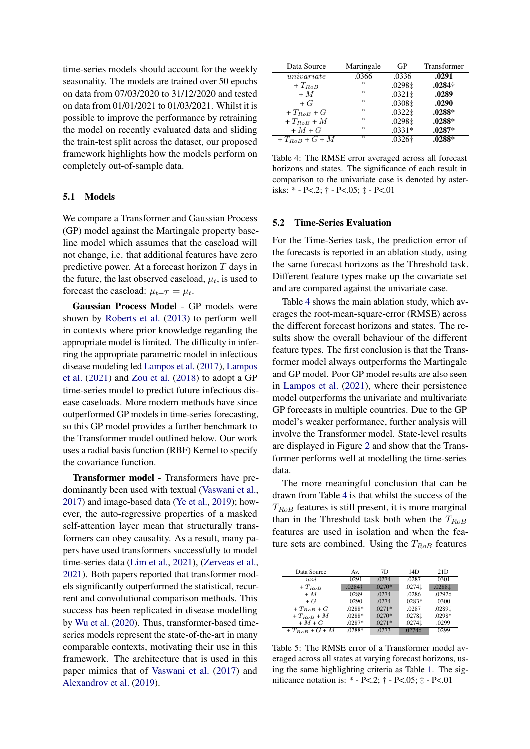time-series models should account for the weekly seasonality. The models are trained over 50 epochs on data from 07/03/2020 to 31/12/2020 and tested on data from 01/01/2021 to 01/03/2021. Whilst it is possible to improve the performance by retraining the model on recently evaluated data and sliding the train-test split across the dataset, our proposed framework highlights how the models perform on completely out-of-sample data.

#### 5.1 Models

We compare a Transformer and Gaussian Process (GP) model against the Martingale property baseline model which assumes that the caseload will not change, i.e. that additional features have zero predictive power. At a forecast horizon T days in the future, the last observed caseload,  $\mu_t$ , is used to forecast the caseload:  $\mu_{t+T} = \mu_t$ .

Gaussian Process Model - GP models were shown by [Roberts et al.](#page-9-16) [\(2013\)](#page-9-16) to perform well in contexts where prior knowledge regarding the appropriate model is limited. The difficulty in inferring the appropriate parametric model in infectious disease modeling led [Lampos et al.](#page-9-0) [\(2017\)](#page-9-0), [Lampos](#page-9-1) [et al.](#page-9-1) [\(2021\)](#page-9-1) and [Zou et al.](#page-10-12) [\(2018\)](#page-10-12) to adopt a GP time-series model to predict future infectious disease caseloads. More modern methods have since outperformed GP models in time-series forecasting, so this GP model provides a further benchmark to the Transformer model outlined below. Our work uses a radial basis function (RBF) Kernel to specify the covariance function.

Transformer model - Transformers have predominantly been used with textual [\(Vaswani et al.,](#page-10-13) [2017\)](#page-10-13) and image-based data [\(Ye et al.,](#page-10-14) [2019\)](#page-10-14); however, the auto-regressive properties of a masked self-attention layer mean that structurally transformers can obey causality. As a result, many papers have used transformers successfully to model time-series data [\(Lim et al.,](#page-9-17) [2021\)](#page-9-17), [\(Zerveas et al.,](#page-10-15) [2021\)](#page-10-15). Both papers reported that transformer models significantly outperformed the statistical, recurrent and convolutional comparison methods. This success has been replicated in disease modelling by [Wu et al.](#page-10-16) [\(2020\)](#page-10-16). Thus, transformer-based timeseries models represent the state-of-the-art in many comparable contexts, motivating their use in this framework. The architecture that is used in this paper mimics that of [Vaswani et al.](#page-10-13) [\(2017\)](#page-10-13) and [Alexandrov et al.](#page-8-9) [\(2019\)](#page-8-9).

<span id="page-5-0"></span>

| Data Source             | Martingale | GP          | Transformer    |
|-------------------------|------------|-------------|----------------|
| $\overline{univariate}$ | .0366      | .0336       | .0291          |
| $+T_{RoB}$              | ,,         | .0298‡      | $.0284\dagger$ |
| $+M$                    | ,,         | $.0321 \pm$ | .0289          |
| $+G$                    | ,,         | .0308‡      | .0290          |
| $+T_{RoB}$ + G          | ,,         | .0322±      | $.0288*$       |
| $+T_{RoB}+M$            | ,,         | .0298‡      | $.0288*$       |
| $+M+G$                  | ,,         | $.0331*$    | $.0287*$       |
| $+T_{RoB}$ + $G$ + $M$  | ,,         | $.0326+$    | $.0288*$       |

Table 4: The RMSE error averaged across all forecast horizons and states. The significance of each result in comparison to the univariate case is denoted by asterisks: \* - P<.2; † - P<.05; ‡ - P<.01

### 5.2 Time-Series Evaluation

For the Time-Series task, the prediction error of the forecasts is reported in an ablation study, using the same forecast horizons as the Threshold task. Different feature types make up the covariate set and are compared against the univariate case.

Table [4](#page-5-0) shows the main ablation study, which averages the root-mean-square-error (RMSE) across the different forecast horizons and states. The results show the overall behaviour of the different feature types. The first conclusion is that the Transformer model always outperforms the Martingale and GP model. Poor GP model results are also seen in [Lampos et al.](#page-9-1) [\(2021\)](#page-9-1), where their persistence model outperforms the univariate and multivariate GP forecasts in multiple countries. Due to the GP model's weaker performance, further analysis will involve the Transformer model. State-level results are displayed in Figure [2](#page-6-0) and show that the Transformer performs well at modelling the time-series data.

The more meaningful conclusion that can be drawn from Table [4](#page-5-0) is that whilst the success of the  $T_{RoB}$  features is still present, it is more marginal than in the Threshold task both when the  $T_{RoB}$ features are used in isolation and when the feature sets are combined. Using the  $T_{RoB}$  features

<span id="page-5-1"></span>

| Data Source               | Av.      | 7D       | 14D       | 21D    |
|---------------------------|----------|----------|-----------|--------|
| $\overline{uni}$          | .0291    | .0274    | .0287     | .0301  |
| $+T_{RoB}$                | .0284†   | $.0270*$ | .0274‡    | .0288‡ |
| $+M$                      | .0289    | .0274    | .0286     | .0292‡ |
| $+G$                      | .0290    | .0274    | $.0283*$  | .0300  |
| $+T_{BoB}$ + G            | .0288*   | $.0271*$ | .0287     | .0289± |
| $+T_{RoB}+M$              | .0288*   | $.0270*$ | .0278‡    | .0298* |
| $+M+G$                    | .0287*   | $.0271*$ | .0274‡    | .0299  |
| $+T_{RoB}+G+\overline{M}$ | $.0288*$ | .0273    | $.0274$ ‡ | .0299  |

Table 5: The RMSE error of a Transformer model averaged across all states at varying forecast horizons, using the same highlighting criteria as Table [1.](#page-3-1) The significance notation is: \* - P<.2; † - P<.05; ‡ - P<.01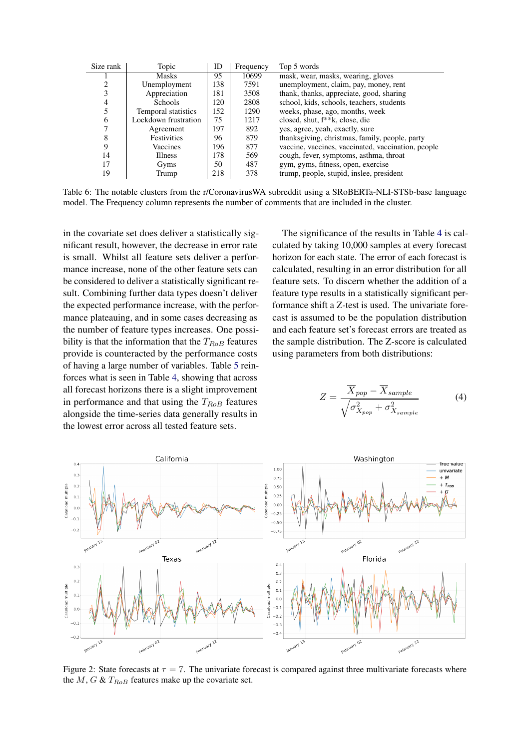<span id="page-6-1"></span>

| Size rank | Topic                | ID  | Frequency | Top 5 words                                        |
|-----------|----------------------|-----|-----------|----------------------------------------------------|
|           | Masks                | 95  | 10699     | mask, wear, masks, wearing, gloves                 |
|           | Unemployment         | 138 | 7591      | unemployment, claim, pay, money, rent              |
| 3         | Appreciation         | 181 | 3508      | thank, thanks, appreciate, good, sharing           |
| 4         | <b>Schools</b>       | 120 | 2808      | school, kids, schools, teachers, students          |
| 5         | Temporal statistics  | 152 | 1290      | weeks, phase, ago, months, week                    |
| 6         | Lockdown frustration | 75  | 1217      | closed, shut, f <sup>**</sup> k, close, die        |
|           | Agreement            | 197 | 892       | yes, agree, yeah, exactly, sure                    |
| 8         | <b>Festivities</b>   | 96  | 879       | thanksgiving, christmas, family, people, party     |
| 9         | Vaccines             | 196 | 877       | vaccine, vaccines, vaccinated, vaccination, people |
| 14        | <b>Illness</b>       | 178 | 569       | cough, fever, symptoms, asthma, throat             |
| 17        | Gyms                 | 50  | 487       | gym, gyms, fitness, open, exercise                 |
| 19        | Trump                | 218 | 378       | trump, people, stupid, inslee, president           |

Table 6: The notable clusters from the r/CoronavirusWA subreddit using a SRoBERTa-NLI-STSb-base language model. The Frequency column represents the number of comments that are included in the cluster.

in the covariate set does deliver a statistically significant result, however, the decrease in error rate is small. Whilst all feature sets deliver a performance increase, none of the other feature sets can be considered to deliver a statistically significant result. Combining further data types doesn't deliver the expected performance increase, with the performance plateauing, and in some cases decreasing as the number of feature types increases. One possibility is that the information that the  $T_{RoB}$  features provide is counteracted by the performance costs of having a large number of variables. Table [5](#page-5-1) reinforces what is seen in Table [4,](#page-5-0) showing that across all forecast horizons there is a slight improvement in performance and that using the  $T_{RoB}$  features alongside the time-series data generally results in the lowest error across all tested feature sets.

The significance of the results in Table [4](#page-5-0) is calculated by taking 10,000 samples at every forecast horizon for each state. The error of each forecast is calculated, resulting in an error distribution for all feature sets. To discern whether the addition of a feature type results in a statistically significant performance shift a Z-test is used. The univariate forecast is assumed to be the population distribution and each feature set's forecast errors are treated as the sample distribution. The Z-score is calculated using parameters from both distributions:

$$
Z = \frac{\overline{X}_{pop} - \overline{X}_{sample}}{\sqrt{\sigma_{X_{pop}}^2 + \sigma_{X_{sample}}^2}}
$$
 (4)

<span id="page-6-0"></span>

Figure 2: State forecasts at  $\tau = 7$ . The univariate forecast is compared against three multivariate forecasts where the  $M$ ,  $G$  &  $T_{RoB}$  features make up the covariate set.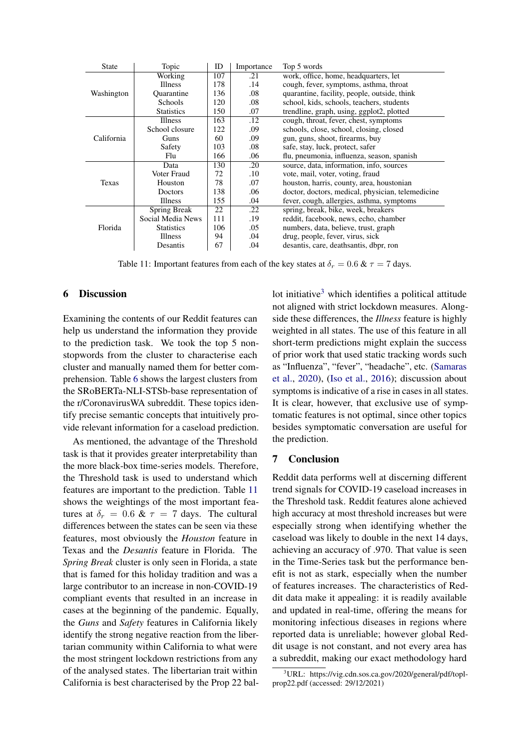<span id="page-7-0"></span>

| <b>State</b> | Topic             | ID  | Importance | Top 5 words                                       |
|--------------|-------------------|-----|------------|---------------------------------------------------|
|              | Working           | 107 | .21        | work, office, home, headquarters, let             |
|              | Illness           | 178 | .14        | cough, fever, symptoms, asthma, throat            |
| Washington   | <b>Ouarantine</b> | 136 | .08        | quarantine, facility, people, outside, think      |
|              | Schools           | 120 | .08        | school, kids, schools, teachers, students         |
|              | <b>Statistics</b> | 150 | .07        | trendline, graph, using, ggplot2, plotted         |
|              | Illness           | 163 | .12        | cough, throat, fever, chest, symptoms             |
|              | School closure    | 122 | .09        | schools, close, school, closing, closed           |
| California   | Guns              | 60  | .09        | gun, guns, shoot, firearms, buy                   |
|              | Safety            | 103 | .08        | safe, stay, luck, protect, safer                  |
|              | Flu               | 166 | .06        | flu, pneumonia, influenza, season, spanish        |
|              | Data              | 130 | .20        | source, data, information, info, sources          |
|              | Voter Fraud       | 72  | .10        | vote, mail, voter, voting, fraud                  |
| Texas        | Houston           | 78  | .07        | houston, harris, county, area, houstonian         |
|              | Doctors           | 138 | .06        | doctor, doctors, medical, physician, telemedicine |
|              | Illness           | 155 | .04        | fever, cough, allergies, asthma, symptoms         |
|              | Spring Break      | 22  | .22        | spring, break, bike, week, breakers               |
|              | Social Media News | 111 | .19        | reddit, facebook, news, echo, chamber             |
| Florida      | <b>Statistics</b> | 106 | .05        | numbers, data, believe, trust, graph              |
|              | Illness           | 94  | .04        | drug, people, fever, virus, sick                  |
|              | Desantis          | 67  | .04        | desantis, care, deathsantis, dbpr, ron            |

Table 11: Important features from each of the key states at  $\delta_r = 0.6 \& \tau = 7$  days.

### 6 Discussion

Examining the contents of our Reddit features can help us understand the information they provide to the prediction task. We took the top 5 nonstopwords from the cluster to characterise each cluster and manually named them for better comprehension. Table [6](#page-6-1) shows the largest clusters from the SRoBERTa-NLI-STSb-base representation of the r/CoronavirusWA subreddit. These topics identify precise semantic concepts that intuitively provide relevant information for a caseload prediction.

As mentioned, the advantage of the Threshold task is that it provides greater interpretability than the more black-box time-series models. Therefore, the Threshold task is used to understand which features are important to the prediction. Table [11](#page-7-0) shows the weightings of the most important features at  $\delta_r = 0.6 \& \tau = 7$  days. The cultural differences between the states can be seen via these features, most obviously the *Houston* feature in Texas and the *Desantis* feature in Florida. The *Spring Break* cluster is only seen in Florida, a state that is famed for this holiday tradition and was a large contributor to an increase in non-COVID-19 compliant events that resulted in an increase in cases at the beginning of the pandemic. Equally, the *Guns* and *Safety* features in California likely identify the strong negative reaction from the libertarian community within California to what were the most stringent lockdown restrictions from any of the analysed states. The libertarian trait within California is best characterised by the Prop 22 ballot initiative<sup>[3](#page-7-1)</sup> which identifies a political attitude not aligned with strict lockdown measures. Alongside these differences, the *Illness* feature is highly weighted in all states. The use of this feature in all short-term predictions might explain the success of prior work that used static tracking words such as "Influenza", "fever", "headache", etc. [\(Samaras](#page-10-2) [et al.,](#page-10-2) [2020\)](#page-10-2), [\(Iso et al.,](#page-9-6) [2016\)](#page-9-6); discussion about symptoms is indicative of a rise in cases in all states. It is clear, however, that exclusive use of symptomatic features is not optimal, since other topics besides symptomatic conversation are useful for the prediction.

# 7 Conclusion

Reddit data performs well at discerning different trend signals for COVID-19 caseload increases in the Threshold task. Reddit features alone achieved high accuracy at most threshold increases but were especially strong when identifying whether the caseload was likely to double in the next 14 days, achieving an accuracy of .970. That value is seen in the Time-Series task but the performance benefit is not as stark, especially when the number of features increases. The characteristics of Reddit data make it appealing: it is readily available and updated in real-time, offering the means for monitoring infectious diseases in regions where reported data is unreliable; however global Reddit usage is not constant, and not every area has a subreddit, making our exact methodology hard

<span id="page-7-1"></span> $3$ URL: https://vig.cdn.sos.ca.gov/2020/general/pdf/toplprop22.pdf (accessed: 29/12/2021)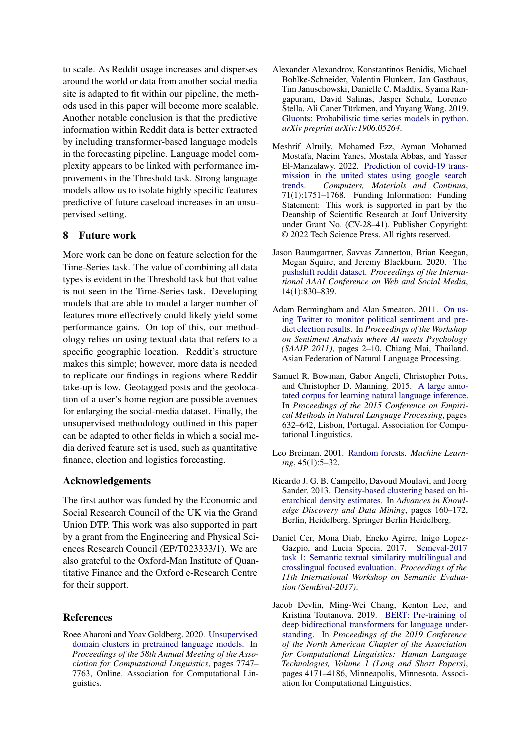to scale. As Reddit usage increases and disperses around the world or data from another social media site is adapted to fit within our pipeline, the methods used in this paper will become more scalable. Another notable conclusion is that the predictive information within Reddit data is better extracted by including transformer-based language models in the forecasting pipeline. Language model complexity appears to be linked with performance improvements in the Threshold task. Strong language models allow us to isolate highly specific features predictive of future caseload increases in an unsupervised setting.

# 8 Future work

More work can be done on feature selection for the Time-Series task. The value of combining all data types is evident in the Threshold task but that value is not seen in the Time-Series task. Developing models that are able to model a larger number of features more effectively could likely yield some performance gains. On top of this, our methodology relies on using textual data that refers to a specific geographic location. Reddit's structure makes this simple; however, more data is needed to replicate our findings in regions where Reddit take-up is low. Geotagged posts and the geolocation of a user's home region are possible avenues for enlarging the social-media dataset. Finally, the unsupervised methodology outlined in this paper can be adapted to other fields in which a social media derived feature set is used, such as quantitative finance, election and logistics forecasting.

#### Acknowledgements

The first author was funded by the Economic and Social Research Council of the UK via the Grand Union DTP. This work was also supported in part by a grant from the Engineering and Physical Sciences Research Council (EP/T023333/1). We are also grateful to the Oxford-Man Institute of Quantitative Finance and the Oxford e-Research Centre for their support.

### References

<span id="page-8-3"></span>Roee Aharoni and Yoav Goldberg. 2020. [Unsupervised](https://doi.org/10.18653/v1/2020.acl-main.692) [domain clusters in pretrained language models.](https://doi.org/10.18653/v1/2020.acl-main.692) In *Proceedings of the 58th Annual Meeting of the Association for Computational Linguistics*, pages 7747– 7763, Online. Association for Computational Linguistics.

- <span id="page-8-9"></span>Alexander Alexandrov, Konstantinos Benidis, Michael Bohlke-Schneider, Valentin Flunkert, Jan Gasthaus, Tim Januschowski, Danielle C. Maddix, Syama Rangapuram, David Salinas, Jasper Schulz, Lorenzo Stella, Ali Caner Türkmen, and Yuyang Wang. 2019. [Gluonts: Probabilistic time series models in python.](http://arxiv.org/abs/1906.05264) *arXiv preprint arXiv:1906.05264*.
- <span id="page-8-0"></span>Meshrif Alruily, Mohamed Ezz, Ayman Mohamed Mostafa, Nacim Yanes, Mostafa Abbas, and Yasser El-Manzalawy. 2022. [Prediction of covid-19 trans](https://doi.org/10.32604/cmc.2022.020714)[mission in the united states using google search](https://doi.org/10.32604/cmc.2022.020714) [trends.](https://doi.org/10.32604/cmc.2022.020714) *Computers, Materials and Continua*, 71(1):1751–1768. Funding Information: Funding Statement: This work is supported in part by the Deanship of Scientific Research at Jouf University under Grant No. (CV-28–41). Publisher Copyright: © 2022 Tech Science Press. All rights reserved.
- <span id="page-8-4"></span>Jason Baumgartner, Savvas Zannettou, Brian Keegan, Megan Squire, and Jeremy Blackburn. 2020. [The](https://ojs.aaai.org/index.php/ICWSM/article/view/7347) [pushshift reddit dataset.](https://ojs.aaai.org/index.php/ICWSM/article/view/7347) *Proceedings of the International AAAI Conference on Web and Social Media*, 14(1):830–839.
- <span id="page-8-1"></span>Adam Bermingham and Alan Smeaton. 2011. [On us](https://aclanthology.org/W11-3702)[ing Twitter to monitor political sentiment and pre](https://aclanthology.org/W11-3702)[dict election results.](https://aclanthology.org/W11-3702) In *Proceedings of the Workshop on Sentiment Analysis where AI meets Psychology (SAAIP 2011)*, pages 2–10, Chiang Mai, Thailand. Asian Federation of Natural Language Processing.
- <span id="page-8-5"></span>Samuel R. Bowman, Gabor Angeli, Christopher Potts, and Christopher D. Manning. 2015. [A large anno](https://doi.org/10.18653/v1/D15-1075)[tated corpus for learning natural language inference.](https://doi.org/10.18653/v1/D15-1075) In *Proceedings of the 2015 Conference on Empirical Methods in Natural Language Processing*, pages 632–642, Lisbon, Portugal. Association for Computational Linguistics.
- <span id="page-8-8"></span>Leo Breiman. 2001. [Random forests.](https://doi.org/10.1023/A:1010933404324) *Machine Learning*, 45(1):5–32.
- <span id="page-8-7"></span>Ricardo J. G. B. Campello, Davoud Moulavi, and Joerg Sander. 2013. [Density-based clustering based on hi](http://pdf.xuebalib.com:1262/2ac1mJln8ATx.pdf)[erarchical density estimates.](http://pdf.xuebalib.com:1262/2ac1mJln8ATx.pdf) In *Advances in Knowledge Discovery and Data Mining*, pages 160–172, Berlin, Heidelberg. Springer Berlin Heidelberg.
- <span id="page-8-6"></span>Daniel Cer, Mona Diab, Eneko Agirre, Inigo Lopez-Gazpio, and Lucia Specia. 2017. [Semeval-2017](https://doi.org/10.18653/v1/s17-2001) [task 1: Semantic textual similarity multilingual and](https://doi.org/10.18653/v1/s17-2001) [crosslingual focused evaluation.](https://doi.org/10.18653/v1/s17-2001) *Proceedings of the 11th International Workshop on Semantic Evaluation (SemEval-2017)*.
- <span id="page-8-2"></span>Jacob Devlin, Ming-Wei Chang, Kenton Lee, and Kristina Toutanova. 2019. [BERT: Pre-training of](https://doi.org/10.18653/v1/N19-1423) [deep bidirectional transformers for language under](https://doi.org/10.18653/v1/N19-1423)[standing.](https://doi.org/10.18653/v1/N19-1423) In *Proceedings of the 2019 Conference of the North American Chapter of the Association for Computational Linguistics: Human Language Technologies, Volume 1 (Long and Short Papers)*, pages 4171–4186, Minneapolis, Minnesota. Association for Computational Linguistics.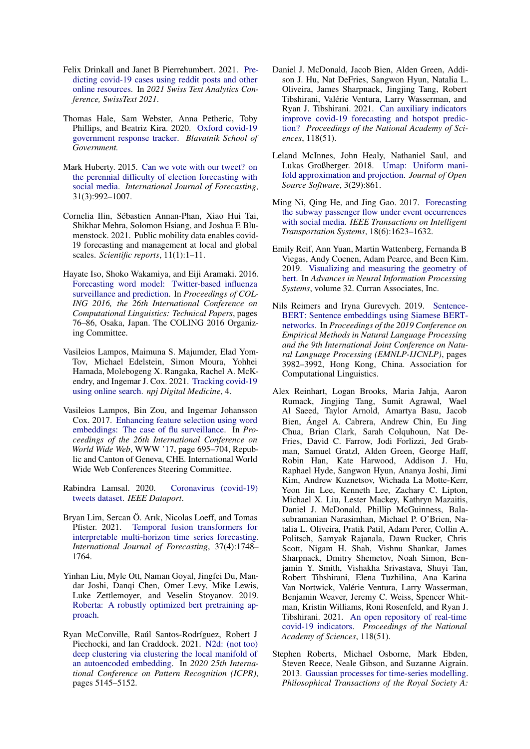- <span id="page-9-7"></span>Felix Drinkall and Janet B Pierrehumbert. 2021. [Pre](http://www.phon.ox.ac.uk/jpierrehumbert/publications/Drinkall-Pierrehumbert2021.pdf)[dicting covid-19 cases using reddit posts and other](http://www.phon.ox.ac.uk/jpierrehumbert/publications/Drinkall-Pierrehumbert2021.pdf) [online resources.](http://www.phon.ox.ac.uk/jpierrehumbert/publications/Drinkall-Pierrehumbert2021.pdf) In *2021 Swiss Text Analytics Conference, SwissText 2021*.
- <span id="page-9-9"></span>Thomas Hale, Sam Webster, Anna Petheric, Toby Phillips, and Beatriz Kira. 2020. [Oxford covid-19](https://covidtracker.bsg.ox.ac.uk/) [government response tracker.](https://covidtracker.bsg.ox.ac.uk/) *Blavatnik School of Government.*
- <span id="page-9-5"></span>Mark Huberty. 2015. [Can we vote with our tweet? on](https://doi.org/https://doi.org/10.1016/j.ijforecast.2014.08.005) [the perennial difficulty of election forecasting with](https://doi.org/https://doi.org/10.1016/j.ijforecast.2014.08.005) [social media.](https://doi.org/https://doi.org/10.1016/j.ijforecast.2014.08.005) *International Journal of Forecasting*, 31(3):992–1007.
- <span id="page-9-10"></span>Cornelia Ilin, Sébastien Annan-Phan, Xiao Hui Tai, Shikhar Mehra, Solomon Hsiang, and Joshua E Blumenstock. 2021. Public mobility data enables covid-19 forecasting and management at local and global scales. *Scientific reports*, 11(1):1–11.
- <span id="page-9-6"></span>Hayate Iso, Shoko Wakamiya, and Eiji Aramaki. 2016. [Forecasting word model: Twitter-based influenza](https://www.aclweb.org/anthology/C16-1008) [surveillance and prediction.](https://www.aclweb.org/anthology/C16-1008) In *Proceedings of COL-ING 2016, the 26th International Conference on Computational Linguistics: Technical Papers*, pages 76–86, Osaka, Japan. The COLING 2016 Organizing Committee.
- <span id="page-9-1"></span>Vasileios Lampos, Maimuna S. Majumder, Elad Yom-Tov, Michael Edelstein, Simon Moura, Yohhei Hamada, Molebogeng X. Rangaka, Rachel A. McKendry, and Ingemar J. Cox. 2021. [Tracking covid-19](https://doi.org/10.1038/s41746-021-00384-w) [using online search.](https://doi.org/10.1038/s41746-021-00384-w) *npj Digital Medicine*, 4.
- <span id="page-9-0"></span>Vasileios Lampos, Bin Zou, and Ingemar Johansson Cox. 2017. [Enhancing feature selection using word](https://doi.org/10.1145/3038912.3052622) [embeddings: The case of flu surveillance.](https://doi.org/10.1145/3038912.3052622) In *Proceedings of the 26th International Conference on World Wide Web*, WWW '17, page 695–704, Republic and Canton of Geneva, CHE. International World Wide Web Conferences Steering Committee.
- <span id="page-9-15"></span>Rabindra Lamsal. 2020. [Coronavirus \(covid-19\)](https://doi.org/10.21227/781w-ef42) [tweets dataset.](https://doi.org/10.21227/781w-ef42) *IEEE Dataport*.
- <span id="page-9-17"></span>Bryan Lim, Sercan Ö. Arık, Nicolas Loeff, and Tomas Pfister. 2021. [Temporal fusion transformers for](https://doi.org/https://doi.org/10.1016/j.ijforecast.2021.03.012) [interpretable multi-horizon time series forecasting.](https://doi.org/https://doi.org/10.1016/j.ijforecast.2021.03.012) *International Journal of Forecasting*, 37(4):1748– 1764.
- <span id="page-9-8"></span>Yinhan Liu, Myle Ott, Naman Goyal, Jingfei Du, Mandar Joshi, Danqi Chen, Omer Levy, Mike Lewis, Luke Zettlemoyer, and Veselin Stoyanov. 2019. [Roberta: A robustly optimized bert pretraining ap](http://arxiv.org/abs/1907.11692)[proach.](http://arxiv.org/abs/1907.11692)
- <span id="page-9-13"></span>Ryan McConville, Raúl Santos-Rodríguez, Robert J Piechocki, and Ian Craddock. 2021. [N2d: \(not too\)](https://doi.org/10.1109/ICPR48806.2021.9413131) [deep clustering via clustering the local manifold of](https://doi.org/10.1109/ICPR48806.2021.9413131) [an autoencoded embedding.](https://doi.org/10.1109/ICPR48806.2021.9413131) In *2020 25th International Conference on Pattern Recognition (ICPR)*, pages 5145–5152.
- <span id="page-9-2"></span>Daniel J. McDonald, Jacob Bien, Alden Green, Addison J. Hu, Nat DeFries, Sangwon Hyun, Natalia L. Oliveira, James Sharpnack, Jingjing Tang, Robert Tibshirani, Valérie Ventura, Larry Wasserman, and Ryan J. Tibshirani. 2021. [Can auxiliary indicators](https://doi.org/10.1073/pnas.2111453118) [improve covid-19 forecasting and hotspot predic](https://doi.org/10.1073/pnas.2111453118)[tion?](https://doi.org/10.1073/pnas.2111453118) *Proceedings of the National Academy of Sciences*, 118(51).
- <span id="page-9-12"></span>Leland McInnes, John Healy, Nathaniel Saul, and Lukas Großberger. 2018. [Umap: Uniform mani](https://doi.org/10.21105/joss.00861)[fold approximation and projection.](https://doi.org/10.21105/joss.00861) *Journal of Open Source Software*, 3(29):861.
- <span id="page-9-4"></span>Ming Ni, Qing He, and Jing Gao. 2017. [Forecasting](https://doi.org/10.1109/TITS.2016.2611644) [the subway passenger flow under event occurrences](https://doi.org/10.1109/TITS.2016.2611644) [with social media.](https://doi.org/10.1109/TITS.2016.2611644) *IEEE Transactions on Intelligent Transportation Systems*, 18(6):1623–1632.
- <span id="page-9-14"></span>Emily Reif, Ann Yuan, Martin Wattenberg, Fernanda B Viegas, Andy Coenen, Adam Pearce, and Been Kim. 2019. [Visualizing and measuring the geometry of](https://proceedings.neurips.cc/paper/2019/file/159c1ffe5b61b41b3c4d8f4c2150f6c4-Paper.pdf) [bert.](https://proceedings.neurips.cc/paper/2019/file/159c1ffe5b61b41b3c4d8f4c2150f6c4-Paper.pdf) In *Advances in Neural Information Processing Systems*, volume 32. Curran Associates, Inc.
- <span id="page-9-11"></span>Nils Reimers and Iryna Gurevych. 2019. [Sentence-](https://doi.org/10.18653/v1/D19-1410)[BERT: Sentence embeddings using Siamese BERT](https://doi.org/10.18653/v1/D19-1410)[networks.](https://doi.org/10.18653/v1/D19-1410) In *Proceedings of the 2019 Conference on Empirical Methods in Natural Language Processing and the 9th International Joint Conference on Natural Language Processing (EMNLP-IJCNLP)*, pages 3982–3992, Hong Kong, China. Association for Computational Linguistics.
- <span id="page-9-3"></span>Alex Reinhart, Logan Brooks, Maria Jahja, Aaron Rumack, Jingjing Tang, Sumit Agrawal, Wael Al Saeed, Taylor Arnold, Amartya Basu, Jacob Bien, Ángel A. Cabrera, Andrew Chin, Eu Jing Chua, Brian Clark, Sarah Colquhoun, Nat De-Fries, David C. Farrow, Jodi Forlizzi, Jed Grabman, Samuel Gratzl, Alden Green, George Haff, Robin Han, Kate Harwood, Addison J. Hu, Raphael Hyde, Sangwon Hyun, Ananya Joshi, Jimi Kim, Andrew Kuznetsov, Wichada La Motte-Kerr, Yeon Jin Lee, Kenneth Lee, Zachary C. Lipton, Michael X. Liu, Lester Mackey, Kathryn Mazaitis, Daniel J. McDonald, Phillip McGuinness, Balasubramanian Narasimhan, Michael P. O'Brien, Natalia L. Oliveira, Pratik Patil, Adam Perer, Collin A. Politsch, Samyak Rajanala, Dawn Rucker, Chris Scott, Nigam H. Shah, Vishnu Shankar, James Sharpnack, Dmitry Shemetov, Noah Simon, Benjamin Y. Smith, Vishakha Srivastava, Shuyi Tan, Robert Tibshirani, Elena Tuzhilina, Ana Karina Van Nortwick, Valérie Ventura, Larry Wasserman, Benjamin Weaver, Jeremy C. Weiss, Spencer Whitman, Kristin Williams, Roni Rosenfeld, and Ryan J. Tibshirani. 2021. [An open repository of real-time](https://doi.org/10.1073/pnas.2111452118) [covid-19 indicators.](https://doi.org/10.1073/pnas.2111452118) *Proceedings of the National Academy of Sciences*, 118(51).
- <span id="page-9-16"></span>Stephen Roberts, Michael Osborne, Mark Ebden, Steven Reece, Neale Gibson, and Suzanne Aigrain. 2013. [Gaussian processes for time-series modelling.](https://royalsocietypublishing.org/doi/pdf/10.1098/rsta.2011.0550) *Philosophical Transactions of the Royal Society A:*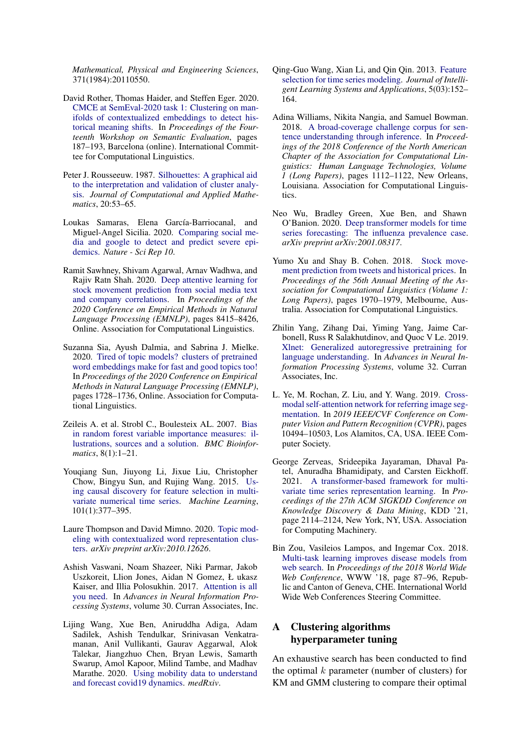*Mathematical, Physical and Engineering Sciences*, 371(1984):20110550.

- <span id="page-10-6"></span>David Rother, Thomas Haider, and Steffen Eger. 2020. [CMCE at SemEval-2020 task 1: Clustering on man](https://doi.org/10.18653/v1/2020.semeval-1.22)[ifolds of contextualized embeddings to detect his](https://doi.org/10.18653/v1/2020.semeval-1.22)[torical meaning shifts.](https://doi.org/10.18653/v1/2020.semeval-1.22) In *Proceedings of the Fourteenth Workshop on Semantic Evaluation*, pages 187–193, Barcelona (online). International Committee for Computational Linguistics.
- <span id="page-10-17"></span>Peter J. Rousseeuw. 1987. [Silhouettes: A graphical aid](https://doi.org/https://doi.org/10.1016/0377-0427(87)90125-7) [to the interpretation and validation of cluster analy](https://doi.org/https://doi.org/10.1016/0377-0427(87)90125-7)[sis.](https://doi.org/https://doi.org/10.1016/0377-0427(87)90125-7) *Journal of Computational and Applied Mathematics*, 20:53–65.
- <span id="page-10-2"></span>Loukas Samaras, Elena García-Barriocanal, and Miguel-Angel Sicilia. 2020. [Comparing social me](https://doi.org/10.1038/s41598-020-61686-9)[dia and google to detect and predict severe epi](https://doi.org/10.1038/s41598-020-61686-9)[demics.](https://doi.org/10.1038/s41598-020-61686-9) *Nature - Sci Rep 10*.
- <span id="page-10-1"></span>Ramit Sawhney, Shivam Agarwal, Arnav Wadhwa, and Rajiv Ratn Shah. 2020. [Deep attentive learning for](https://doi.org/10.18653/v1/2020.emnlp-main.676) [stock movement prediction from social media text](https://doi.org/10.18653/v1/2020.emnlp-main.676) [and company correlations.](https://doi.org/10.18653/v1/2020.emnlp-main.676) In *Proceedings of the 2020 Conference on Empirical Methods in Natural Language Processing (EMNLP)*, pages 8415–8426, Online. Association for Computational Linguistics.
- <span id="page-10-4"></span>Suzanna Sia, Ayush Dalmia, and Sabrina J. Mielke. 2020. [Tired of topic models? clusters of pretrained](https://doi.org/10.18653/v1/2020.emnlp-main.135) [word embeddings make for fast and good topics too!](https://doi.org/10.18653/v1/2020.emnlp-main.135) In *Proceedings of the 2020 Conference on Empirical Methods in Natural Language Processing (EMNLP)*, pages 1728–1736, Online. Association for Computational Linguistics.
- <span id="page-10-11"></span>Zeileis A. et al. Strobl C., Boulesteix AL. 2007. [Bias](https://doi.org/10.1186/1471-2105-8-25) [in random forest variable importance measures: il](https://doi.org/10.1186/1471-2105-8-25)[lustrations, sources and a solution.](https://doi.org/10.1186/1471-2105-8-25) *BMC Bioinformatics*, 8(1):1–21.
- <span id="page-10-8"></span>Youqiang Sun, Jiuyong Li, Jixue Liu, Christopher Chow, Bingyu Sun, and Rujing Wang. 2015. [Us](https://doi.org/https://doi.org/10.1007/s10994-014-5460-1)[ing causal discovery for feature selection in multi](https://doi.org/https://doi.org/10.1007/s10994-014-5460-1)[variate numerical time series.](https://doi.org/https://doi.org/10.1007/s10994-014-5460-1) *Machine Learning*, 101(1):377–395.
- <span id="page-10-5"></span>Laure Thompson and David Mimno. 2020. [Topic mod](http://arxiv.org/abs/2010.12626)[eling with contextualized word representation clus](http://arxiv.org/abs/2010.12626)[ters.](http://arxiv.org/abs/2010.12626) *arXiv preprint arXiv:2010.12626*.
- <span id="page-10-13"></span>Ashish Vaswani, Noam Shazeer, Niki Parmar, Jakob Uszkoreit, Llion Jones, Aidan N Gomez, Ł ukasz Kaiser, and Illia Polosukhin. 2017. [Attention is all](https://proceedings.neurips.cc/paper/2017/file/3f5ee243547dee91fbd053c1c4a845aa-Paper.pdf) [you need.](https://proceedings.neurips.cc/paper/2017/file/3f5ee243547dee91fbd053c1c4a845aa-Paper.pdf) In *Advances in Neural Information Processing Systems*, volume 30. Curran Associates, Inc.
- <span id="page-10-9"></span>Lijing Wang, Xue Ben, Aniruddha Adiga, Adam Sadilek, Ashish Tendulkar, Srinivasan Venkatramanan, Anil Vullikanti, Gaurav Aggarwal, Alok Talekar, Jiangzhuo Chen, Bryan Lewis, Samarth Swarup, Amol Kapoor, Milind Tambe, and Madhav Marathe. 2020. [Using mobility data to understand](https://doi.org/10.1101/2020.12.13.20248129) [and forecast covid19 dynamics.](https://doi.org/10.1101/2020.12.13.20248129) *medRxiv*.
- <span id="page-10-7"></span>Qing-Guo Wang, Xian Li, and Qin Qin. 2013. [Feature](https://escholarship.org/content/qt3cr7g60m/qt3cr7g60m_noSplash_83d8746afd5cd7b292e15cf42530fdc7.pdf?t=n0fxyd) [selection for time series modeling.](https://escholarship.org/content/qt3cr7g60m/qt3cr7g60m_noSplash_83d8746afd5cd7b292e15cf42530fdc7.pdf?t=n0fxyd) *Journal of Intelligent Learning Systems and Applications*, 5(03):152– 164.
- <span id="page-10-10"></span>Adina Williams, Nikita Nangia, and Samuel Bowman. 2018. [A broad-coverage challenge corpus for sen](https://doi.org/10.18653/v1/N18-1101)[tence understanding through inference.](https://doi.org/10.18653/v1/N18-1101) In *Proceedings of the 2018 Conference of the North American Chapter of the Association for Computational Linguistics: Human Language Technologies, Volume 1 (Long Papers)*, pages 1112–1122, New Orleans, Louisiana. Association for Computational Linguistics.
- <span id="page-10-16"></span>Neo Wu, Bradley Green, Xue Ben, and Shawn O'Banion. 2020. [Deep transformer models for time](http://arxiv.org/abs/2001.08317) [series forecasting: The influenza prevalence case.](http://arxiv.org/abs/2001.08317) *arXiv preprint arXiv:2001.08317*.
- <span id="page-10-0"></span>Yumo Xu and Shay B. Cohen. 2018. [Stock move](https://doi.org/10.18653/v1/P18-1183)[ment prediction from tweets and historical prices.](https://doi.org/10.18653/v1/P18-1183) In *Proceedings of the 56th Annual Meeting of the Association for Computational Linguistics (Volume 1: Long Papers)*, pages 1970–1979, Melbourne, Australia. Association for Computational Linguistics.
- <span id="page-10-3"></span>Zhilin Yang, Zihang Dai, Yiming Yang, Jaime Carbonell, Russ R Salakhutdinov, and Quoc V Le. 2019. [Xlnet: Generalized autoregressive pretraining for](https://proceedings.neurips.cc/paper/2019/file/dc6a7e655d7e5840e66733e9ee67cc69-Paper.pdf) [language understanding.](https://proceedings.neurips.cc/paper/2019/file/dc6a7e655d7e5840e66733e9ee67cc69-Paper.pdf) In *Advances in Neural Information Processing Systems*, volume 32. Curran Associates, Inc.
- <span id="page-10-14"></span>L. Ye, M. Rochan, Z. Liu, and Y. Wang. 2019. [Cross](https://doi.org/10.1109/CVPR.2019.01075)[modal self-attention network for referring image seg](https://doi.org/10.1109/CVPR.2019.01075)[mentation.](https://doi.org/10.1109/CVPR.2019.01075) In *2019 IEEE/CVF Conference on Computer Vision and Pattern Recognition (CVPR)*, pages 10494–10503, Los Alamitos, CA, USA. IEEE Computer Society.
- <span id="page-10-15"></span>George Zerveas, Srideepika Jayaraman, Dhaval Patel, Anuradha Bhamidipaty, and Carsten Eickhoff. 2021. [A transformer-based framework for multi](https://doi.org/10.1145/3447548.3467401)[variate time series representation learning.](https://doi.org/10.1145/3447548.3467401) In *Proceedings of the 27th ACM SIGKDD Conference on Knowledge Discovery & Data Mining*, KDD '21, page 2114–2124, New York, NY, USA. Association for Computing Machinery.
- <span id="page-10-12"></span>Bin Zou, Vasileios Lampos, and Ingemar Cox. 2018. [Multi-task learning improves disease models from](https://doi.org/10.1145/3178876.3186050) [web search.](https://doi.org/10.1145/3178876.3186050) In *Proceedings of the 2018 World Wide Web Conference*, WWW '18, page 87–96, Republic and Canton of Geneva, CHE. International World Wide Web Conferences Steering Committee.

# <span id="page-10-18"></span>A Clustering algorithms hyperparameter tuning

An exhaustive search has been conducted to find the optimal  $k$  parameter (number of clusters) for KM and GMM clustering to compare their optimal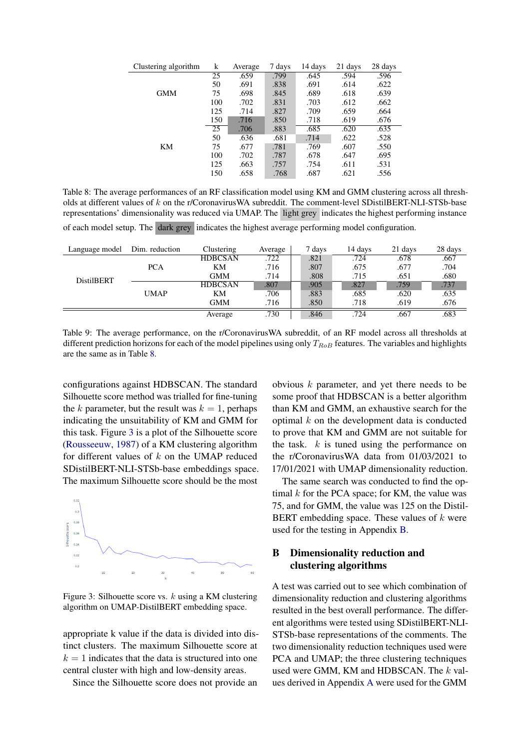<span id="page-11-1"></span>

| Clustering algorithm | k   | Average | 7 days | 14 days | 21 days | 28 days |
|----------------------|-----|---------|--------|---------|---------|---------|
|                      | 25  | .659    | .799   | .645    | .594    | .596    |
|                      | 50  | .691    | .838   | .691    | .614    | .622    |
| <b>GMM</b>           | 75  | .698    | .845   | .689    | .618    | .639    |
|                      | 100 | .702    | .831   | .703    | .612    | .662    |
|                      | 125 | .714    | .827   | .709    | .659    | .664    |
|                      | 150 | .716    | .850   | .718    | .619    | .676    |
|                      | 25  | .706    | .883   | .685    | .620    | .635    |
|                      | 50  | .636    | .681   | .714    | .622    | .528    |
| KM                   | 75  | .677    | .781   | .769    | .607    | .550    |
|                      | 100 | .702    | .787   | .678    | .647    | .695    |
|                      | 125 | .663    | .757   | .754    | .611    | .531    |
|                      | 150 | .658    | .768   | .687    | .621    | .556    |

Table 8: The average performances of an RF classification model using KM and GMM clustering across all thresholds at different values of  $k$  on the r/CoronavirusWA subreddit. The comment-level SDistilBERT-NLI-STSb-base representations' dimensionality was reduced via UMAP. The light grey indicates the highest performing instance of each model setup. The dark grey indicates the highest average performing model configuration.

<span id="page-11-3"></span>

| Language model    | Dim. reduction | Clustering     | Average | 7 days | 14 days | 21 days | 28 days |
|-------------------|----------------|----------------|---------|--------|---------|---------|---------|
|                   |                | <b>HDBCSAN</b> | .722    | .821   | .724    | .678    | .667    |
|                   | <b>PCA</b>     | KМ             | .716    | .807   | .675    | .677    | .704    |
| <b>DistilBERT</b> |                | GMM            | .714    | .808   | .715    | .651    | .680    |
|                   |                | <b>HDBCSAN</b> | .807    | .905   | .827    | .759    | .737    |
|                   | <b>UMAP</b>    | KМ             | .706    | .883   | .685    | .620    | .635    |
|                   |                | GMM            | .716    | .850   | .718    | .619    | .676    |

Table 9: The average performance, on the r/CoronavirusWA subreddit, of an RF model across all thresholds at different prediction horizons for each of the model pipelines using only  $T_{RoB}$  features. The variables and highlights are the same as in Table [8.](#page-11-1)

configurations against HDBSCAN. The standard Silhouette score method was trialled for fine-tuning the k parameter, but the result was  $k = 1$ , perhaps indicating the unsuitability of KM and GMM for this task. Figure [3](#page-11-2) is a plot of the Silhouette score [\(Rousseeuw,](#page-10-17) [1987\)](#page-10-17) of a KM clustering algorithm for different values of  $k$  on the UMAP reduced SDistilBERT-NLI-STSb-base embeddings space. The maximum Silhouette score should be the most

<span id="page-11-2"></span>

Figure 3: Silhouette score vs.  $k$  using a KM clustering algorithm on UMAP-DistilBERT embedding space.

appropriate k value if the data is divided into distinct clusters. The maximum Silhouette score at  $k = 1$  indicates that the data is structured into one central cluster with high and low-density areas.

Since the Silhouette score does not provide an

obvious k parameter, and yet there needs to be some proof that HDBSCAN is a better algorithm than KM and GMM, an exhaustive search for the optimal  $k$  on the development data is conducted to prove that KM and GMM are not suitable for the task.  $k$  is tuned using the performance on the r/CoronavirusWA data from 01/03/2021 to 17/01/2021 with UMAP dimensionality reduction.

Average .730 .846 .724 .667 .683

The same search was conducted to find the optimal  $k$  for the PCA space; for KM, the value was 75, and for GMM, the value was 125 on the Distil-BERT embedding space. These values of  $k$  were used for the testing in Appendix [B.](#page-11-0)

# <span id="page-11-0"></span>B Dimensionality reduction and clustering algorithms

A test was carried out to see which combination of dimensionality reduction and clustering algorithms resulted in the best overall performance. The different algorithms were tested using SDistilBERT-NLI-STSb-base representations of the comments. The two dimensionality reduction techniques used were PCA and UMAP; the three clustering techniques used were GMM, KM and HDBSCAN. The k values derived in Appendix [A](#page-10-18) were used for the GMM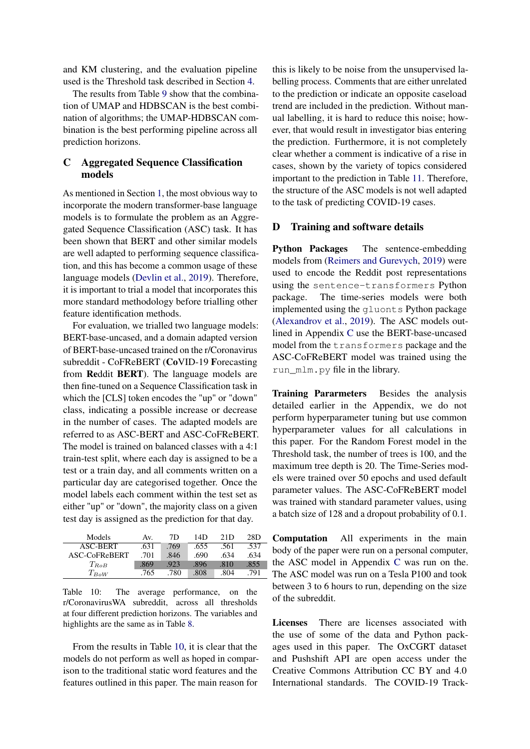and KM clustering, and the evaluation pipeline used is the Threshold task described in Section [4.](#page-3-0)

The results from Table [9](#page-11-3) show that the combination of UMAP and HDBSCAN is the best combination of algorithms; the UMAP-HDBSCAN combination is the best performing pipeline across all prediction horizons.

# <span id="page-12-0"></span>C Aggregated Sequence Classification models

As mentioned in Section [1,](#page-0-0) the most obvious way to incorporate the modern transformer-base language models is to formulate the problem as an Aggregated Sequence Classification (ASC) task. It has been shown that BERT and other similar models are well adapted to performing sequence classification, and this has become a common usage of these language models [\(Devlin et al.,](#page-8-2) [2019\)](#page-8-2). Therefore, it is important to trial a model that incorporates this more standard methodology before trialling other feature identification methods.

For evaluation, we trialled two language models: BERT-base-uncased, and a domain adapted version of BERT-base-uncased trained on the r/Coronavirus subreddit - CoFReBERT (CoVID-19 Forecasting from Reddit BERT). The language models are then fine-tuned on a Sequence Classification task in which the [CLS] token encodes the "up" or "down" class, indicating a possible increase or decrease in the number of cases. The adapted models are referred to as ASC-BERT and ASC-CoFReBERT. The model is trained on balanced classes with a 4:1 train-test split, where each day is assigned to be a test or a train day, and all comments written on a particular day are categorised together. Once the model labels each comment within the test set as either "up" or "down", the majority class on a given test day is assigned as the prediction for that day.

<span id="page-12-1"></span>

| Models        | Av.  | 7D   | 14D  | 21D  | 28D  |
|---------------|------|------|------|------|------|
| ASC-BERT      | .631 | .769 | .655 | .561 | .537 |
| ASC-CoFReBERT | .701 | .846 | .690 | .634 | .634 |
| $T_{RoB}$     | .869 | .923 | .896 | .810 | .855 |
| $T_{BoW}$     | .765 | .780 | .808 | .804 | -791 |

Table 10: The average performance, on the r/CoronavirusWA subreddit, across all thresholds at four different prediction horizons. The variables and highlights are the same as in Table [8.](#page-11-1)

From the results in Table [10,](#page-12-1) it is clear that the models do not perform as well as hoped in comparison to the traditional static word features and the features outlined in this paper. The main reason for

this is likely to be noise from the unsupervised labelling process. Comments that are either unrelated to the prediction or indicate an opposite caseload trend are included in the prediction. Without manual labelling, it is hard to reduce this noise; however, that would result in investigator bias entering the prediction. Furthermore, it is not completely clear whether a comment is indicative of a rise in cases, shown by the variety of topics considered important to the prediction in Table [11.](#page-7-0) Therefore, the structure of the ASC models is not well adapted to the task of predicting COVID-19 cases.

# D Training and software details

Python Packages The sentence-embedding models from [\(Reimers and Gurevych,](#page-9-11) [2019\)](#page-9-11) were used to encode the Reddit post representations using the sentence-transformers Python package. The time-series models were both implemented using the gluonts Python package [\(Alexandrov et al.,](#page-8-9) [2019\)](#page-8-9). The ASC models outlined in Appendix [C](#page-12-0) use the BERT-base-uncased model from the transformers package and the ASC-CoFReBERT model was trained using the run\_mlm.py file in the library.

Training Pararmeters Besides the analysis detailed earlier in the Appendix, we do not perform hyperparameter tuning but use common hyperparameter values for all calculations in this paper. For the Random Forest model in the Threshold task, the number of trees is 100, and the maximum tree depth is 20. The Time-Series models were trained over 50 epochs and used default parameter values. The ASC-CoFReBERT model was trained with standard parameter values, using a batch size of 128 and a dropout probability of 0.1.

Computation All experiments in the main body of the paper were run on a personal computer, the ASC model in Appendix [C](#page-12-0) was run on the. The ASC model was run on a Tesla P100 and took between 3 to 6 hours to run, depending on the size of the subreddit.

Licenses There are licenses associated with the use of some of the data and Python packages used in this paper. The OxCGRT dataset and Pushshift API are open access under the Creative Commons Attribution CC BY and 4.0 International standards. The COVID-19 Track-